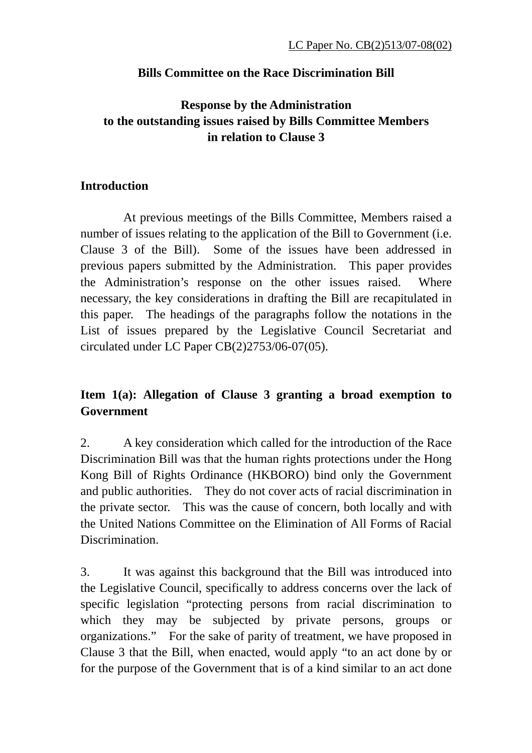#### **Bills Committee on the Race Discrimination Bill**

# **Response by the Administration to the outstanding issues raised by Bills Committee Members in relation to Clause 3**

#### **Introduction**

 At previous meetings of the Bills Committee, Members raised a number of issues relating to the application of the Bill to Government (i.e. Clause 3 of the Bill). Some of the issues have been addressed in previous papers submitted by the Administration. This paper provides the Administration's response on the other issues raised. Where necessary, the key considerations in drafting the Bill are recapitulated in this paper. The headings of the paragraphs follow the notations in the List of issues prepared by the Legislative Council Secretariat and circulated under LC Paper CB(2)2753/06-07(05).

# **Item 1(a): Allegation of Clause 3 granting a broad exemption to Government**

2. A key consideration which called for the introduction of the Race Discrimination Bill was that the human rights protections under the Hong Kong Bill of Rights Ordinance (HKBORO) bind only the Government and public authorities. They do not cover acts of racial discrimination in the private sector. This was the cause of concern, both locally and with the United Nations Committee on the Elimination of All Forms of Racial Discrimination.

3. It was against this background that the Bill was introduced into the Legislative Council, specifically to address concerns over the lack of specific legislation "protecting persons from racial discrimination to which they may be subjected by private persons, groups or organizations." For the sake of parity of treatment, we have proposed in Clause 3 that the Bill, when enacted, would apply "to an act done by or for the purpose of the Government that is of a kind similar to an act done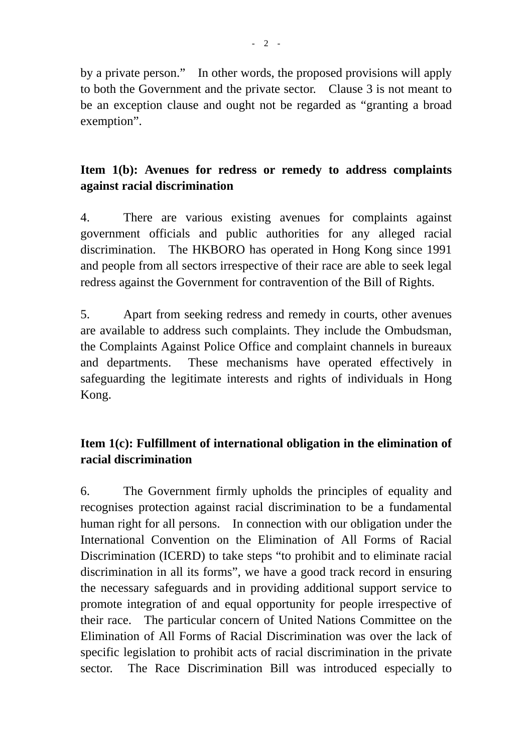by a private person." In other words, the proposed provisions will apply to both the Government and the private sector. Clause 3 is not meant to be an exception clause and ought not be regarded as "granting a broad exemption".

### **Item 1(b): Avenues for redress or remedy to address complaints against racial discrimination**

4. There are various existing avenues for complaints against government officials and public authorities for any alleged racial discrimination. The HKBORO has operated in Hong Kong since 1991 and people from all sectors irrespective of their race are able to seek legal redress against the Government for contravention of the Bill of Rights.

5. Apart from seeking redress and remedy in courts, other avenues are available to address such complaints. They include the Ombudsman, the Complaints Against Police Office and complaint channels in bureaux and departments. These mechanisms have operated effectively in safeguarding the legitimate interests and rights of individuals in Hong Kong.

# **Item 1(c): Fulfillment of international obligation in the elimination of racial discrimination**

6. The Government firmly upholds the principles of equality and recognises protection against racial discrimination to be a fundamental human right for all persons. In connection with our obligation under the International Convention on the Elimination of All Forms of Racial Discrimination (ICERD) to take steps "to prohibit and to eliminate racial discrimination in all its forms", we have a good track record in ensuring the necessary safeguards and in providing additional support service to promote integration of and equal opportunity for people irrespective of their race. The particular concern of United Nations Committee on the Elimination of All Forms of Racial Discrimination was over the lack of specific legislation to prohibit acts of racial discrimination in the private sector. The Race Discrimination Bill was introduced especially to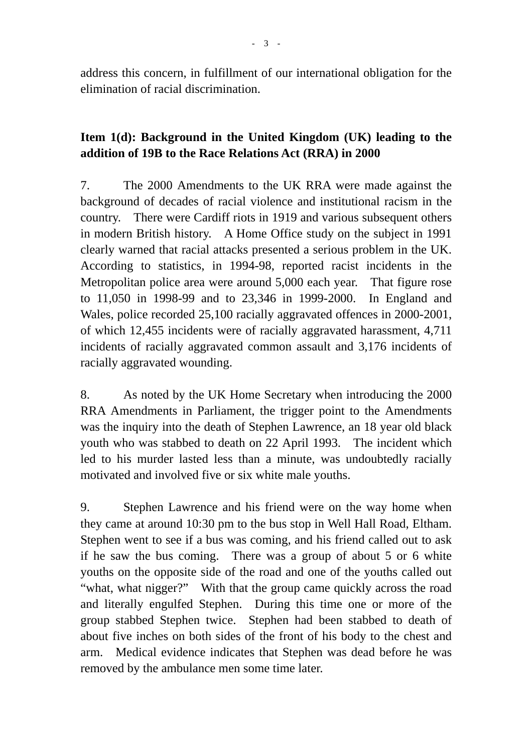address this concern, in fulfillment of our international obligation for the elimination of racial discrimination.

## **Item 1(d): Background in the United Kingdom (UK) leading to the addition of 19B to the Race Relations Act (RRA) in 2000**

7. The 2000 Amendments to the UK RRA were made against the background of decades of racial violence and institutional racism in the country. There were Cardiff riots in 1919 and various subsequent others in modern British history. A Home Office study on the subject in 1991 clearly warned that racial attacks presented a serious problem in the UK. According to statistics, in 1994-98, reported racist incidents in the Metropolitan police area were around 5,000 each year. That figure rose to 11,050 in 1998-99 and to 23,346 in 1999-2000. In England and Wales, police recorded 25,100 racially aggravated offences in 2000-2001, of which 12,455 incidents were of racially aggravated harassment, 4,711 incidents of racially aggravated common assault and 3,176 incidents of racially aggravated wounding.

8. As noted by the UK Home Secretary when introducing the 2000 RRA Amendments in Parliament, the trigger point to the Amendments was the inquiry into the death of Stephen Lawrence, an 18 year old black youth who was stabbed to death on 22 April 1993. The incident which led to his murder lasted less than a minute, was undoubtedly racially motivated and involved five or six white male youths.

9. Stephen Lawrence and his friend were on the way home when they came at around 10:30 pm to the bus stop in Well Hall Road, Eltham. Stephen went to see if a bus was coming, and his friend called out to ask if he saw the bus coming. There was a group of about 5 or 6 white youths on the opposite side of the road and one of the youths called out "what, what nigger?" With that the group came quickly across the road and literally engulfed Stephen. During this time one or more of the group stabbed Stephen twice. Stephen had been stabbed to death of about five inches on both sides of the front of his body to the chest and arm. Medical evidence indicates that Stephen was dead before he was removed by the ambulance men some time later.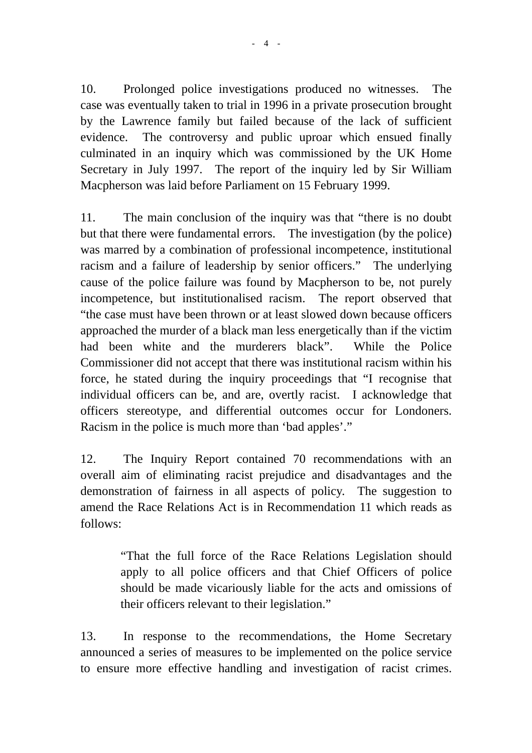10. Prolonged police investigations produced no witnesses. The case was eventually taken to trial in 1996 in a private prosecution brought by the Lawrence family but failed because of the lack of sufficient evidence. The controversy and public uproar which ensued finally culminated in an inquiry which was commissioned by the UK Home Secretary in July 1997. The report of the inquiry led by Sir William Macpherson was laid before Parliament on 15 February 1999.

11. The main conclusion of the inquiry was that "there is no doubt but that there were fundamental errors. The investigation (by the police) was marred by a combination of professional incompetence, institutional racism and a failure of leadership by senior officers." The underlying cause of the police failure was found by Macpherson to be, not purely incompetence, but institutionalised racism. The report observed that "the case must have been thrown or at least slowed down because officers approached the murder of a black man less energetically than if the victim had been white and the murderers black". While the Police Commissioner did not accept that there was institutional racism within his force, he stated during the inquiry proceedings that "I recognise that individual officers can be, and are, overtly racist. I acknowledge that officers stereotype, and differential outcomes occur for Londoners. Racism in the police is much more than 'bad apples'."

12. The Inquiry Report contained 70 recommendations with an overall aim of eliminating racist prejudice and disadvantages and the demonstration of fairness in all aspects of policy. The suggestion to amend the Race Relations Act is in Recommendation 11 which reads as follows:

> "That the full force of the Race Relations Legislation should apply to all police officers and that Chief Officers of police should be made vicariously liable for the acts and omissions of their officers relevant to their legislation."

13. In response to the recommendations, the Home Secretary announced a series of measures to be implemented on the police service to ensure more effective handling and investigation of racist crimes.